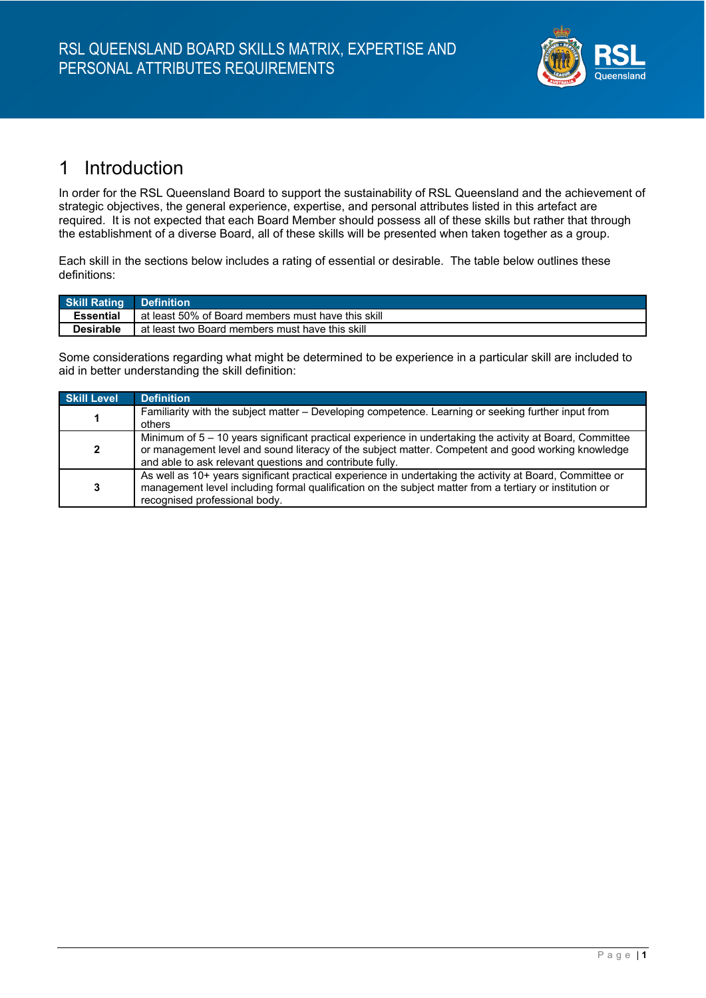

#### 1 Introduction

In order for the RSL Queensland Board to support the sustainability of RSL Queensland and the achievement of strategic objectives, the general experience, expertise, and personal attributes listed in this artefact are required. It is not expected that each Board Member should possess all of these skills but rather that through the establishment of a diverse Board, all of these skills will be presented when taken together as a group.

Each skill in the sections below includes a rating of essential or desirable. The table below outlines these definitions:

| <b>Skill Rating Definition</b> |                                                    |
|--------------------------------|----------------------------------------------------|
| <b>Essential</b>               | at least 50% of Board members must have this skill |
| <b>Desirable</b>               | at least two Board members must have this skill    |

Some considerations regarding what might be determined to be experience in a particular skill are included to aid in better understanding the skill definition:

| <b>Skill Level</b> | <b>Definition</b>                                                                                                                                                                                                                                                          |
|--------------------|----------------------------------------------------------------------------------------------------------------------------------------------------------------------------------------------------------------------------------------------------------------------------|
|                    | Familiarity with the subject matter – Developing competence. Learning or seeking further input from<br>others                                                                                                                                                              |
| $\mathbf{2}$       | Minimum of 5 – 10 years significant practical experience in undertaking the activity at Board, Committee<br>or management level and sound literacy of the subject matter. Competent and good working knowledge<br>and able to ask relevant questions and contribute fully. |
| 3                  | As well as 10+ years significant practical experience in undertaking the activity at Board, Committee or<br>management level including formal qualification on the subject matter from a tertiary or institution or<br>recognised professional body.                       |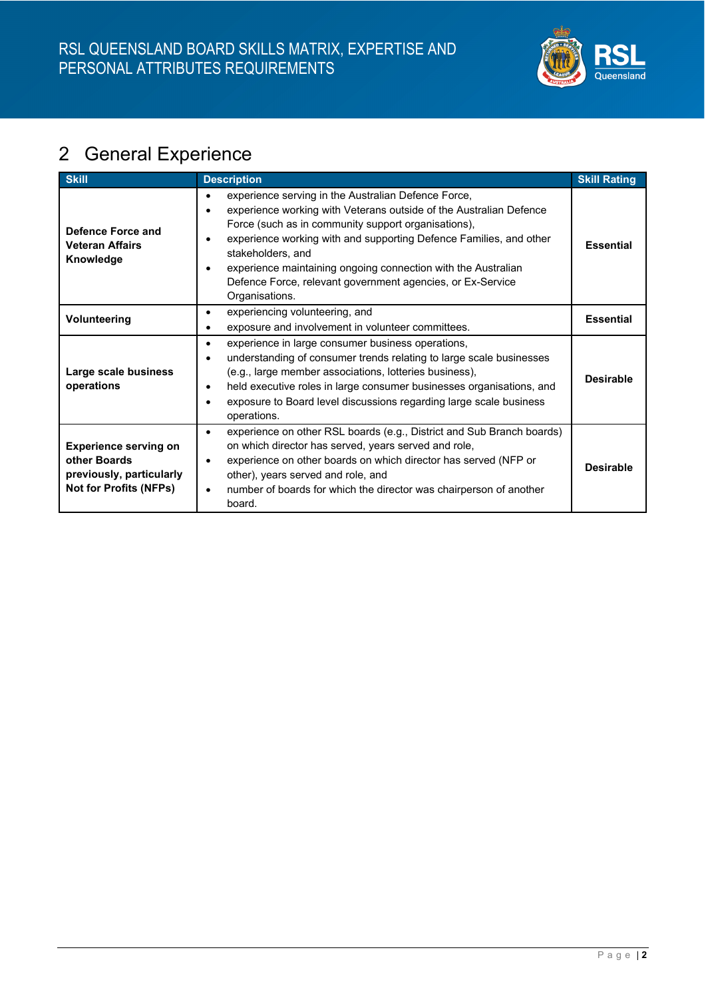

# 2 General Experience

| <b>Skill</b>                                                                                              | <b>Description</b>                                                                                                                                                                                                                                                                                                                                                                                                                                     | <b>Skill Rating</b> |
|-----------------------------------------------------------------------------------------------------------|--------------------------------------------------------------------------------------------------------------------------------------------------------------------------------------------------------------------------------------------------------------------------------------------------------------------------------------------------------------------------------------------------------------------------------------------------------|---------------------|
| Defence Force and<br><b>Veteran Affairs</b><br>Knowledge                                                  | experience serving in the Australian Defence Force,<br>$\bullet$<br>experience working with Veterans outside of the Australian Defence<br>$\bullet$<br>Force (such as in community support organisations),<br>experience working with and supporting Defence Families, and other<br>stakeholders, and<br>experience maintaining ongoing connection with the Australian<br>Defence Force, relevant government agencies, or Ex-Service<br>Organisations. | <b>Essential</b>    |
| Volunteering                                                                                              | experiencing volunteering, and<br>$\bullet$<br>exposure and involvement in volunteer committees.<br>$\bullet$                                                                                                                                                                                                                                                                                                                                          | <b>Essential</b>    |
| Large scale business<br>operations                                                                        | experience in large consumer business operations,<br>$\bullet$<br>understanding of consumer trends relating to large scale businesses<br>(e.g., large member associations, lotteries business),<br>held executive roles in large consumer businesses organisations, and<br>$\bullet$<br>exposure to Board level discussions regarding large scale business<br>operations.                                                                              | <b>Desirable</b>    |
| <b>Experience serving on</b><br>other Boards<br>previously, particularly<br><b>Not for Profits (NFPs)</b> | experience on other RSL boards (e.g., District and Sub Branch boards)<br>$\bullet$<br>on which director has served, years served and role,<br>experience on other boards on which director has served (NFP or<br>$\bullet$<br>other), years served and role, and<br>number of boards for which the director was chairperson of another<br>$\bullet$<br>board.                                                                                          | <b>Desirable</b>    |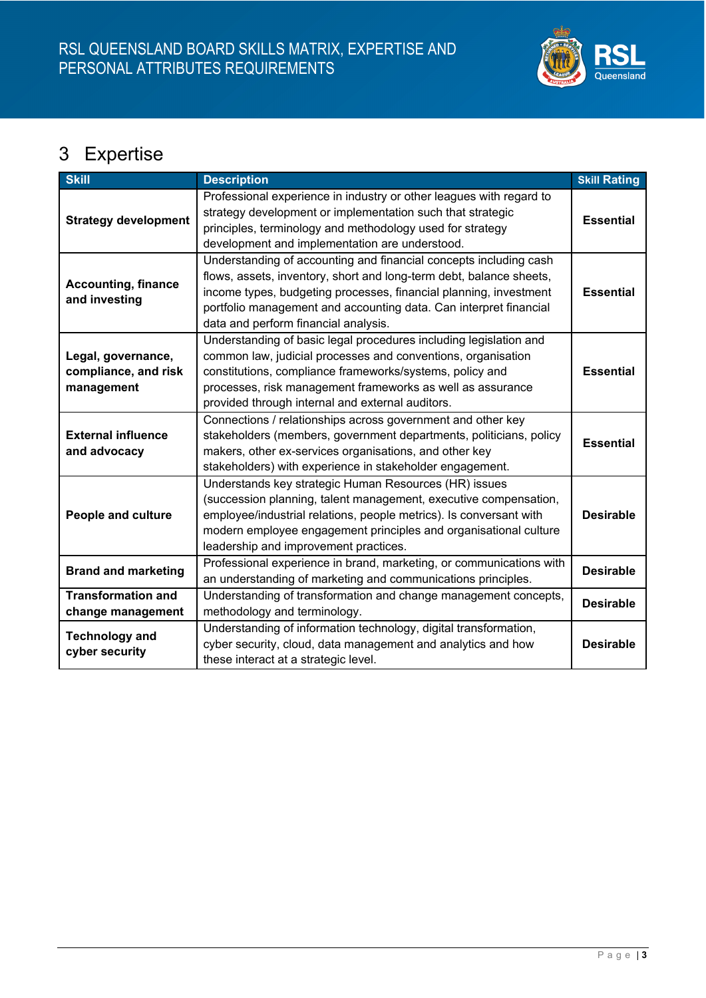

# 3 Expertise

| <b>Skill</b>                                             | <b>Description</b>                                                                                                                                                                                                                                                                                                         | <b>Skill Rating</b> |
|----------------------------------------------------------|----------------------------------------------------------------------------------------------------------------------------------------------------------------------------------------------------------------------------------------------------------------------------------------------------------------------------|---------------------|
| <b>Strategy development</b>                              | Professional experience in industry or other leagues with regard to<br>strategy development or implementation such that strategic<br>principles, terminology and methodology used for strategy<br>development and implementation are understood.                                                                           | <b>Essential</b>    |
| <b>Accounting, finance</b><br>and investing              | Understanding of accounting and financial concepts including cash<br>flows, assets, inventory, short and long-term debt, balance sheets,<br>income types, budgeting processes, financial planning, investment<br>portfolio management and accounting data. Can interpret financial<br>data and perform financial analysis. | <b>Essential</b>    |
| Legal, governance,<br>compliance, and risk<br>management | Understanding of basic legal procedures including legislation and<br>common law, judicial processes and conventions, organisation<br>constitutions, compliance frameworks/systems, policy and<br>processes, risk management frameworks as well as assurance<br>provided through internal and external auditors.            | <b>Essential</b>    |
| <b>External influence</b><br>and advocacy                | Connections / relationships across government and other key<br>stakeholders (members, government departments, politicians, policy<br>makers, other ex-services organisations, and other key<br>stakeholders) with experience in stakeholder engagement.                                                                    | <b>Essential</b>    |
| <b>People and culture</b>                                | Understands key strategic Human Resources (HR) issues<br>(succession planning, talent management, executive compensation,<br>employee/industrial relations, people metrics). Is conversant with<br>modern employee engagement principles and organisational culture<br>leadership and improvement practices.               | <b>Desirable</b>    |
| <b>Brand and marketing</b>                               | Professional experience in brand, marketing, or communications with<br>an understanding of marketing and communications principles.                                                                                                                                                                                        | <b>Desirable</b>    |
| <b>Transformation and</b><br>change management           | Understanding of transformation and change management concepts,<br>methodology and terminology.                                                                                                                                                                                                                            | <b>Desirable</b>    |
| <b>Technology and</b><br>cyber security                  | Understanding of information technology, digital transformation,<br>cyber security, cloud, data management and analytics and how<br>these interact at a strategic level.                                                                                                                                                   | <b>Desirable</b>    |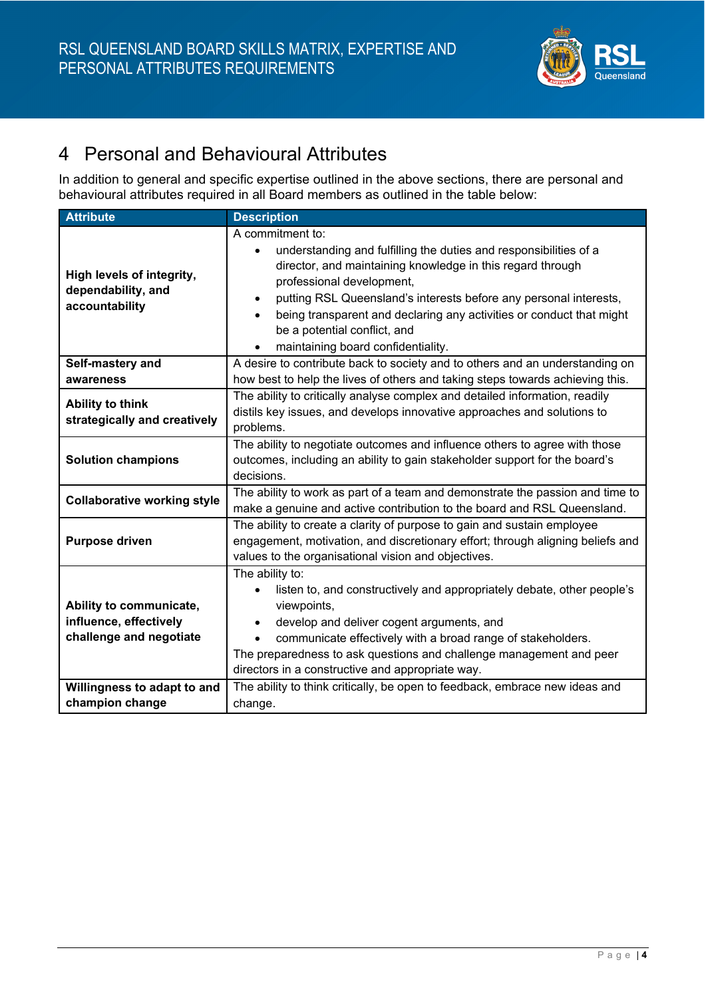

## 4 Personal and Behavioural Attributes

In addition to general and specific expertise outlined in the above sections, there are personal and behavioural attributes required in all Board members as outlined in the table below:

| <b>Attribute</b>                                                             | <b>Description</b>                                                                                                                                                                                                                                                                                                                                                                                                                         |
|------------------------------------------------------------------------------|--------------------------------------------------------------------------------------------------------------------------------------------------------------------------------------------------------------------------------------------------------------------------------------------------------------------------------------------------------------------------------------------------------------------------------------------|
| High levels of integrity,<br>dependability, and<br>accountability            | A commitment to:<br>understanding and fulfilling the duties and responsibilities of a<br>director, and maintaining knowledge in this regard through<br>professional development,<br>putting RSL Queensland's interests before any personal interests,<br>$\bullet$<br>being transparent and declaring any activities or conduct that might<br>$\bullet$<br>be a potential conflict, and<br>maintaining board confidentiality.<br>$\bullet$ |
| Self-mastery and<br>awareness                                                | A desire to contribute back to society and to others and an understanding on<br>how best to help the lives of others and taking steps towards achieving this.                                                                                                                                                                                                                                                                              |
| <b>Ability to think</b><br>strategically and creatively                      | The ability to critically analyse complex and detailed information, readily<br>distils key issues, and develops innovative approaches and solutions to<br>problems.                                                                                                                                                                                                                                                                        |
| <b>Solution champions</b>                                                    | The ability to negotiate outcomes and influence others to agree with those<br>outcomes, including an ability to gain stakeholder support for the board's<br>decisions.                                                                                                                                                                                                                                                                     |
| <b>Collaborative working style</b>                                           | The ability to work as part of a team and demonstrate the passion and time to<br>make a genuine and active contribution to the board and RSL Queensland.                                                                                                                                                                                                                                                                                   |
| <b>Purpose driven</b>                                                        | The ability to create a clarity of purpose to gain and sustain employee<br>engagement, motivation, and discretionary effort; through aligning beliefs and<br>values to the organisational vision and objectives.                                                                                                                                                                                                                           |
| Ability to communicate,<br>influence, effectively<br>challenge and negotiate | The ability to:<br>listen to, and constructively and appropriately debate, other people's<br>viewpoints,<br>develop and deliver cogent arguments, and<br>$\bullet$<br>communicate effectively with a broad range of stakeholders.<br>The preparedness to ask questions and challenge management and peer<br>directors in a constructive and appropriate way.                                                                               |
| Willingness to adapt to and                                                  | The ability to think critically, be open to feedback, embrace new ideas and                                                                                                                                                                                                                                                                                                                                                                |
| champion change                                                              | change.                                                                                                                                                                                                                                                                                                                                                                                                                                    |